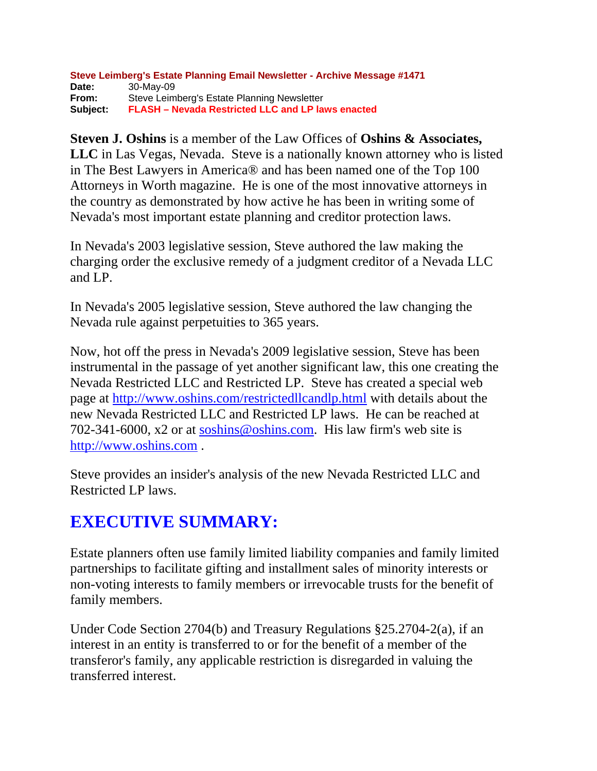#### **Steve Leimberg's Estate Planning Email Newsletter - Archive Message #1471 Date:** 30-May-09 **From:** Steve Leimberg's Estate Planning Newsletter **Subject: FLASH – Nevada Restricted LLC and LP laws enacted**

**Steven J. Oshins** is a member of the Law Offices of **Oshins & Associates, LLC** in Las Vegas, Nevada. Steve is a nationally known attorney who is listed in The Best Lawyers in America® and has been named one of the Top 100 Attorneys in Worth magazine. He is one of the most innovative attorneys in the country as demonstrated by how active he has been in writing some of Nevada's most important estate planning and creditor protection laws.

In Nevada's 2003 legislative session, Steve authored the law making the charging order the exclusive remedy of a judgment creditor of a Nevada LLC and LP.

In Nevada's 2005 legislative session, Steve authored the law changing the Nevada rule against perpetuities to 365 years.

Now, hot off the press in Nevada's 2009 legislative session, Steve has been instrumental in the passage of yet another significant law, this one creating the Nevada Restricted LLC and Restricted LP. Steve has created a special web page at<http://www.oshins.com/restrictedllcandlp.html> with details about the new Nevada Restricted LLC and Restricted LP laws. He can be reached at 702-341-6000, x2 or at [soshins@oshins.com](mailto:soshins@oshins.com). His law firm's web site is [http://www.oshins.com](http://www.oshins.com/) .

Steve provides an insider's analysis of the new Nevada Restricted LLC and Restricted LP laws.

## **EXECUTIVE SUMMARY:**

Estate planners often use family limited liability companies and family limited partnerships to facilitate gifting and installment sales of minority interests or non-voting interests to family members or irrevocable trusts for the benefit of family members.

Under Code Section 2704(b) and Treasury Regulations §25.2704-2(a), if an interest in an entity is transferred to or for the benefit of a member of the transferor's family, any applicable restriction is disregarded in valuing the transferred interest.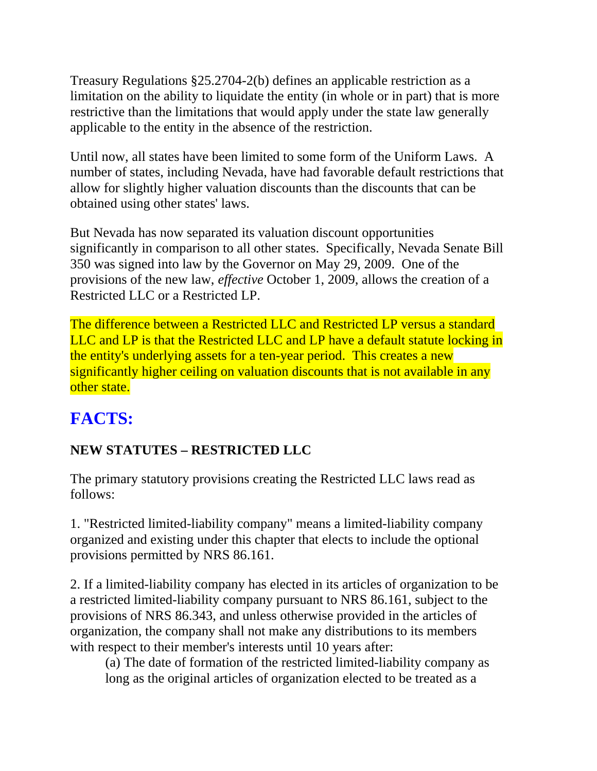Treasury Regulations §25.2704-2(b) defines an applicable restriction as a limitation on the ability to liquidate the entity (in whole or in part) that is more restrictive than the limitations that would apply under the state law generally applicable to the entity in the absence of the restriction.

Until now, all states have been limited to some form of the Uniform Laws. A number of states, including Nevada, have had favorable default restrictions that allow for slightly higher valuation discounts than the discounts that can be obtained using other states' laws.

But Nevada has now separated its valuation discount opportunities significantly in comparison to all other states. Specifically, Nevada Senate Bill 350 was signed into law by the Governor on May 29, 2009. One of the provisions of the new law, *effective* October 1, 2009, allows the creation of a Restricted LLC or a Restricted LP.

The difference between a Restricted LLC and Restricted LP versus a standard LLC and LP is that the Restricted LLC and LP have a default statute locking in the entity's underlying assets for a ten-year period. This creates a new significantly higher ceiling on valuation discounts that is not available in any other state.

## **FACTS:**

### **NEW STATUTES – RESTRICTED LLC**

The primary statutory provisions creating the Restricted LLC laws read as follows:

1. "Restricted limited-liability company" means a limited-liability company organized and existing under this chapter that elects to include the optional provisions permitted by NRS 86.161.

2. If a limited-liability company has elected in its articles of organization to be a restricted limited-liability company pursuant to NRS 86.161, subject to the provisions of NRS 86.343, and unless otherwise provided in the articles of organization, the company shall not make any distributions to its members with respect to their member's interests until 10 years after:

(a) The date of formation of the restricted limited-liability company as long as the original articles of organization elected to be treated as a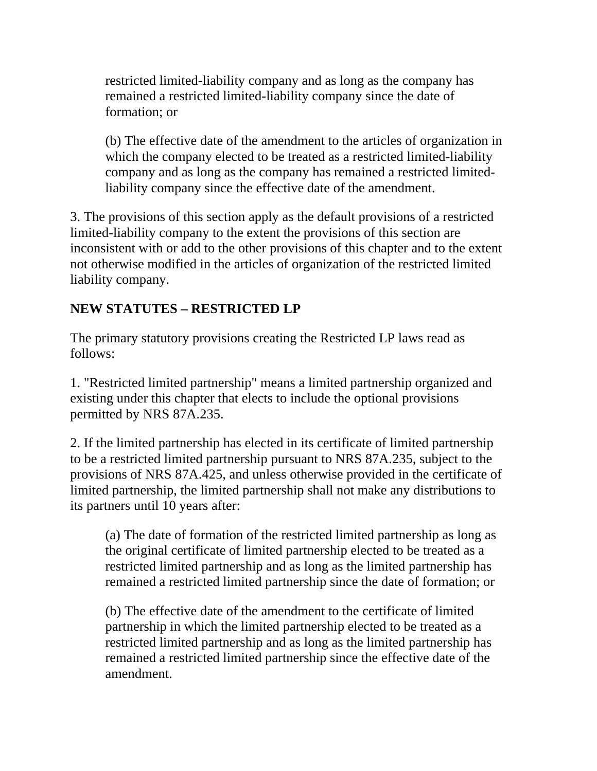restricted limited-liability company and as long as the company has remained a restricted limited-liability company since the date of formation; or

(b) The effective date of the amendment to the articles of organization in which the company elected to be treated as a restricted limited-liability company and as long as the company has remained a restricted limitedliability company since the effective date of the amendment.

3. The provisions of this section apply as the default provisions of a restricted limited-liability company to the extent the provisions of this section are inconsistent with or add to the other provisions of this chapter and to the extent not otherwise modified in the articles of organization of the restricted limited liability company.

#### **NEW STATUTES – RESTRICTED LP**

The primary statutory provisions creating the Restricted LP laws read as follows:

1. "Restricted limited partnership" means a limited partnership organized and existing under this chapter that elects to include the optional provisions permitted by NRS 87A.235.

2. If the limited partnership has elected in its certificate of limited partnership to be a restricted limited partnership pursuant to NRS 87A.235, subject to the provisions of NRS 87A.425, and unless otherwise provided in the certificate of limited partnership, the limited partnership shall not make any distributions to its partners until 10 years after:

(a) The date of formation of the restricted limited partnership as long as the original certificate of limited partnership elected to be treated as a restricted limited partnership and as long as the limited partnership has remained a restricted limited partnership since the date of formation; or

(b) The effective date of the amendment to the certificate of limited partnership in which the limited partnership elected to be treated as a restricted limited partnership and as long as the limited partnership has remained a restricted limited partnership since the effective date of the amendment.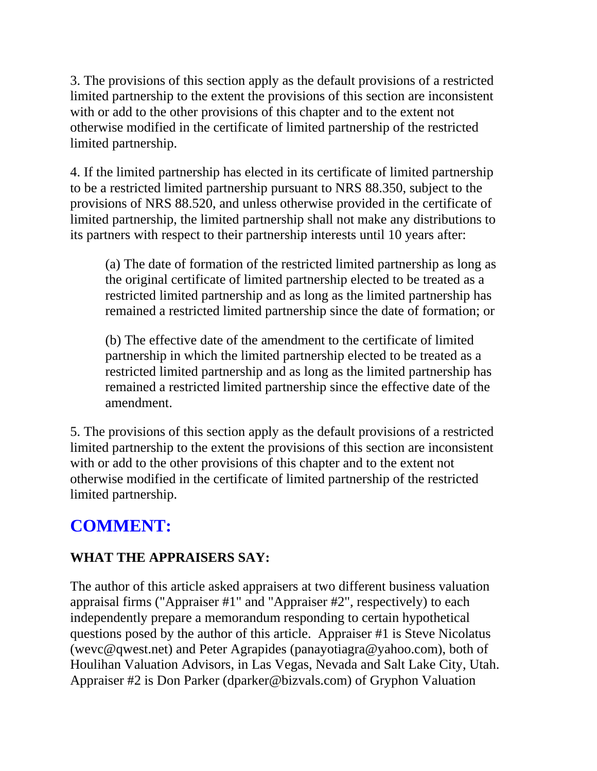3. The provisions of this section apply as the default provisions of a restricted limited partnership to the extent the provisions of this section are inconsistent with or add to the other provisions of this chapter and to the extent not otherwise modified in the certificate of limited partnership of the restricted limited partnership.

4. If the limited partnership has elected in its certificate of limited partnership to be a restricted limited partnership pursuant to NRS 88.350, subject to the provisions of NRS 88.520, and unless otherwise provided in the certificate of limited partnership, the limited partnership shall not make any distributions to its partners with respect to their partnership interests until 10 years after:

(a) The date of formation of the restricted limited partnership as long as the original certificate of limited partnership elected to be treated as a restricted limited partnership and as long as the limited partnership has remained a restricted limited partnership since the date of formation; or

(b) The effective date of the amendment to the certificate of limited partnership in which the limited partnership elected to be treated as a restricted limited partnership and as long as the limited partnership has remained a restricted limited partnership since the effective date of the amendment.

5. The provisions of this section apply as the default provisions of a restricted limited partnership to the extent the provisions of this section are inconsistent with or add to the other provisions of this chapter and to the extent not otherwise modified in the certificate of limited partnership of the restricted limited partnership.

## **COMMENT:**

#### **WHAT THE APPRAISERS SAY:**

The author of this article asked appraisers at two different business valuation appraisal firms ("Appraiser #1" and "Appraiser #2", respectively) to each independently prepare a memorandum responding to certain hypothetical questions posed by the author of this article. Appraiser #1 is Steve Nicolatus (wevc@qwest.net) and Peter Agrapides (panayotiagra@yahoo.com), both of Houlihan Valuation Advisors, in Las Vegas, Nevada and Salt Lake City, Utah. Appraiser #2 is Don Parker (dparker@bizvals.com) of Gryphon Valuation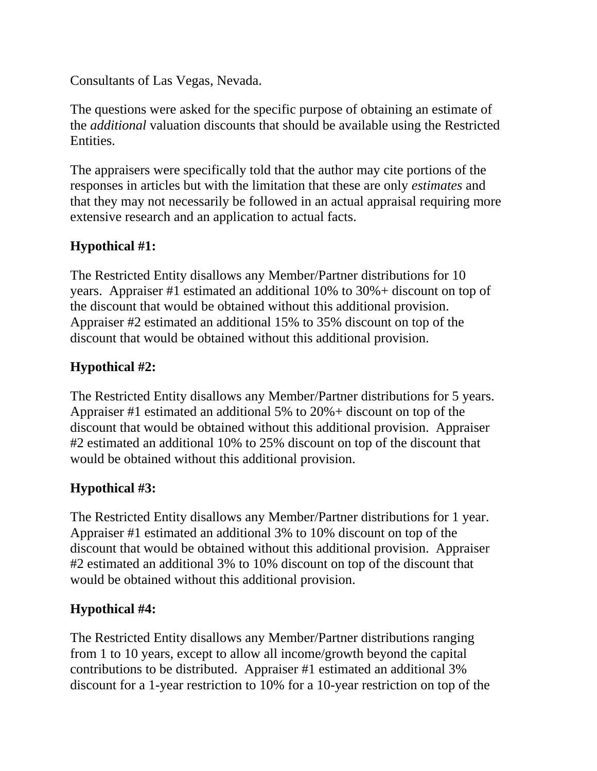Consultants of Las Vegas, Nevada.

The questions were asked for the specific purpose of obtaining an estimate of the *additional* valuation discounts that should be available using the Restricted Entities.

The appraisers were specifically told that the author may cite portions of the responses in articles but with the limitation that these are only *estimates* and that they may not necessarily be followed in an actual appraisal requiring more extensive research and an application to actual facts.

#### **Hypothical #1:**

The Restricted Entity disallows any Member/Partner distributions for 10 years. Appraiser #1 estimated an additional 10% to 30%+ discount on top of the discount that would be obtained without this additional provision. Appraiser #2 estimated an additional 15% to 35% discount on top of the discount that would be obtained without this additional provision.

#### **Hypothical #2:**

The Restricted Entity disallows any Member/Partner distributions for 5 years. Appraiser #1 estimated an additional 5% to 20%+ discount on top of the discount that would be obtained without this additional provision. Appraiser #2 estimated an additional 10% to 25% discount on top of the discount that would be obtained without this additional provision.

#### **Hypothical #3:**

The Restricted Entity disallows any Member/Partner distributions for 1 year. Appraiser #1 estimated an additional 3% to 10% discount on top of the discount that would be obtained without this additional provision. Appraiser #2 estimated an additional 3% to 10% discount on top of the discount that would be obtained without this additional provision.

#### **Hypothical #4:**

The Restricted Entity disallows any Member/Partner distributions ranging from 1 to 10 years, except to allow all income/growth beyond the capital contributions to be distributed. Appraiser #1 estimated an additional 3% discount for a 1-year restriction to 10% for a 10-year restriction on top of the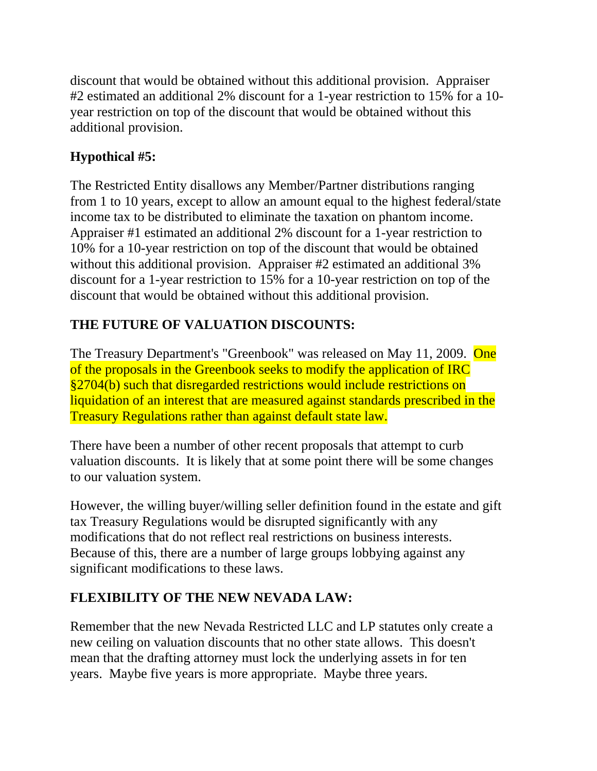discount that would be obtained without this additional provision. Appraiser #2 estimated an additional 2% discount for a 1-year restriction to 15% for a 10 year restriction on top of the discount that would be obtained without this additional provision.

#### **Hypothical #5:**

The Restricted Entity disallows any Member/Partner distributions ranging from 1 to 10 years, except to allow an amount equal to the highest federal/state income tax to be distributed to eliminate the taxation on phantom income. Appraiser #1 estimated an additional 2% discount for a 1-year restriction to 10% for a 10-year restriction on top of the discount that would be obtained without this additional provision. Appraiser #2 estimated an additional 3% discount for a 1-year restriction to 15% for a 10-year restriction on top of the discount that would be obtained without this additional provision.

#### **THE FUTURE OF VALUATION DISCOUNTS:**

The Treasury Department's "Greenbook" was released on May 11, 2009. One of the proposals in the Greenbook seeks to modify the application of IRC §2704(b) such that disregarded restrictions would include restrictions on liquidation of an interest that are measured against standards prescribed in the Treasury Regulations rather than against default state law.

There have been a number of other recent proposals that attempt to curb valuation discounts. It is likely that at some point there will be some changes to our valuation system.

However, the willing buyer/willing seller definition found in the estate and gift tax Treasury Regulations would be disrupted significantly with any modifications that do not reflect real restrictions on business interests. Because of this, there are a number of large groups lobbying against any significant modifications to these laws.

#### **FLEXIBILITY OF THE NEW NEVADA LAW:**

Remember that the new Nevada Restricted LLC and LP statutes only create a new ceiling on valuation discounts that no other state allows. This doesn't mean that the drafting attorney must lock the underlying assets in for ten years. Maybe five years is more appropriate. Maybe three years.